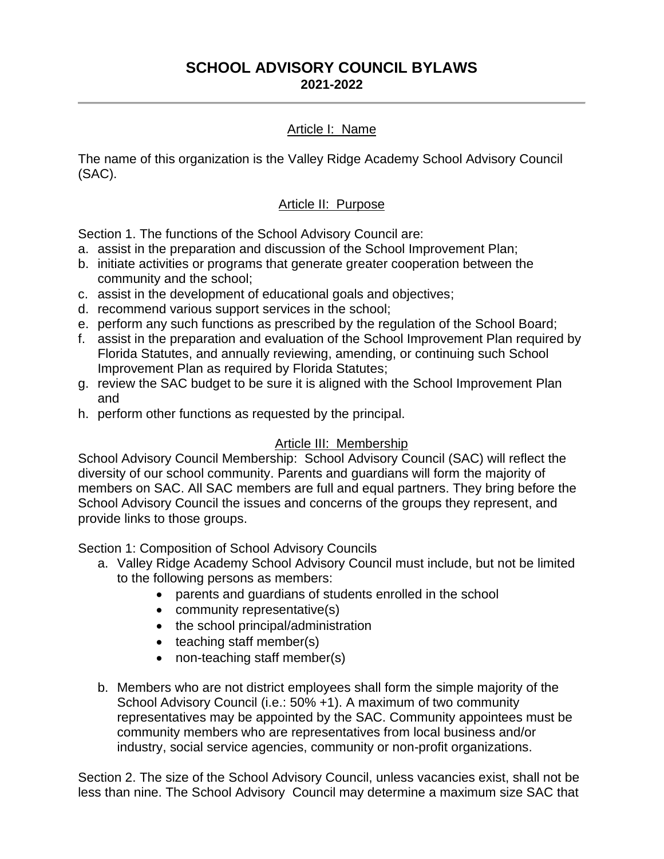#### **SCHOOL ADVISORY COUNCIL BYLAWS 2021-2022**

### Article I: Name

The name of this organization is the Valley Ridge Academy School Advisory Council (SAC).

#### Article II: Purpose

Section 1. The functions of the School Advisory Council are:

- a. assist in the preparation and discussion of the School Improvement Plan;
- b. initiate activities or programs that generate greater cooperation between the community and the school;
- c. assist in the development of educational goals and objectives;
- d. recommend various support services in the school;
- e. perform any such functions as prescribed by the regulation of the School Board;
- f. assist in the preparation and evaluation of the School Improvement Plan required by Florida Statutes, and annually reviewing, amending, or continuing such School Improvement Plan as required by Florida Statutes;
- g. review the SAC budget to be sure it is aligned with the School Improvement Plan and
- h. perform other functions as requested by the principal.

#### Article III: Membership

School Advisory Council Membership: School Advisory Council (SAC) will reflect the diversity of our school community. Parents and guardians will form the majority of members on SAC. All SAC members are full and equal partners. They bring before the School Advisory Council the issues and concerns of the groups they represent, and provide links to those groups.

Section 1: Composition of School Advisory Councils

- a. Valley Ridge Academy School Advisory Council must include, but not be limited to the following persons as members:
	- parents and guardians of students enrolled in the school
	- community representative(s)
	- the school principal/administration
	- teaching staff member(s)
	- non-teaching staff member(s)
- b. Members who are not district employees shall form the simple majority of the School Advisory Council (i.e.: 50% +1). A maximum of two community representatives may be appointed by the SAC. Community appointees must be community members who are representatives from local business and/or industry, social service agencies, community or non-profit organizations.

Section 2. The size of the School Advisory Council, unless vacancies exist, shall not be less than nine. The School Advisory Council may determine a maximum size SAC that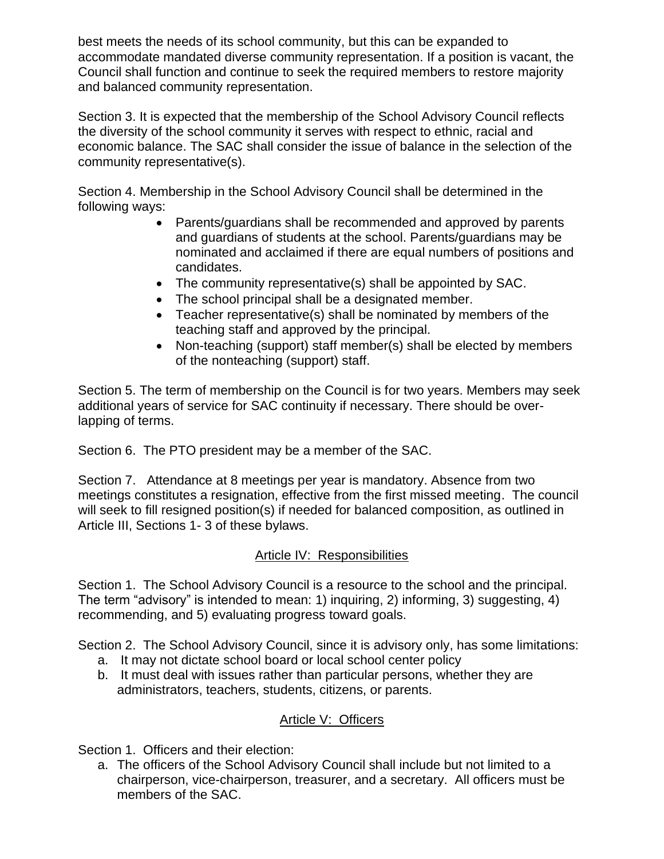best meets the needs of its school community, but this can be expanded to accommodate mandated diverse community representation. If a position is vacant, the Council shall function and continue to seek the required members to restore majority and balanced community representation.

Section 3. It is expected that the membership of the School Advisory Council reflects the diversity of the school community it serves with respect to ethnic, racial and economic balance. The SAC shall consider the issue of balance in the selection of the community representative(s).

Section 4. Membership in the School Advisory Council shall be determined in the following ways:

- Parents/guardians shall be recommended and approved by parents and guardians of students at the school. Parents/guardians may be nominated and acclaimed if there are equal numbers of positions and candidates.
- The community representative(s) shall be appointed by SAC.
- The school principal shall be a designated member.
- Teacher representative(s) shall be nominated by members of the teaching staff and approved by the principal.
- Non-teaching (support) staff member(s) shall be elected by members of the nonteaching (support) staff.

Section 5. The term of membership on the Council is for two years. Members may seek additional years of service for SAC continuity if necessary. There should be overlapping of terms.

Section 6. The PTO president may be a member of the SAC.

Section 7. Attendance at 8 meetings per year is mandatory. Absence from two meetings constitutes a resignation, effective from the first missed meeting. The council will seek to fill resigned position(s) if needed for balanced composition, as outlined in Article III, Sections 1- 3 of these bylaws.

#### Article IV: Responsibilities

Section 1. The School Advisory Council is a resource to the school and the principal. The term "advisory" is intended to mean: 1) inquiring, 2) informing, 3) suggesting, 4) recommending, and 5) evaluating progress toward goals.

Section 2. The School Advisory Council, since it is advisory only, has some limitations:

- a. It may not dictate school board or local school center policy
- b. It must deal with issues rather than particular persons, whether they are administrators, teachers, students, citizens, or parents.

### Article V: Officers

Section 1. Officers and their election:

a. The officers of the School Advisory Council shall include but not limited to a chairperson, vice-chairperson, treasurer, and a secretary. All officers must be members of the SAC.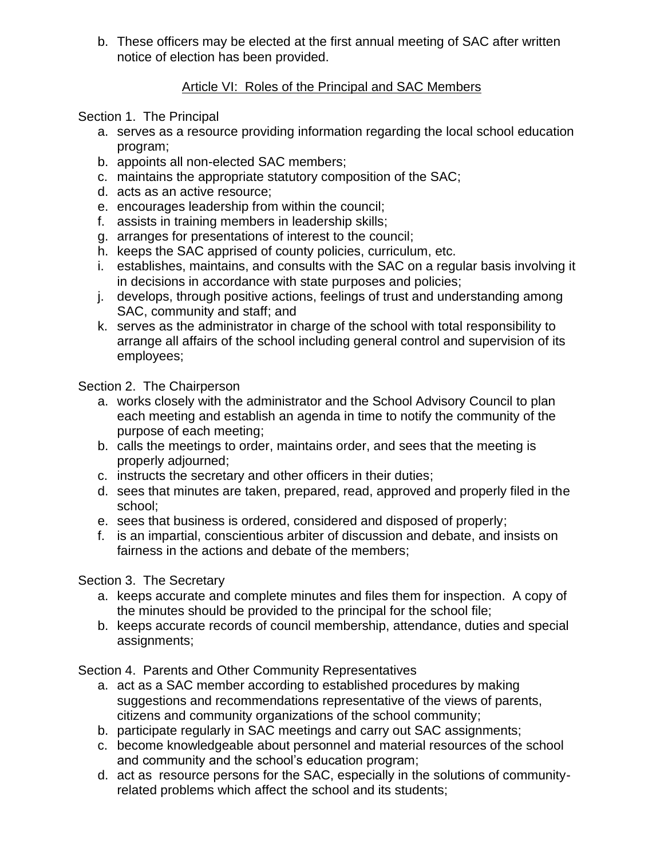b. These officers may be elected at the first annual meeting of SAC after written notice of election has been provided.

### Article VI: Roles of the Principal and SAC Members

### Section 1. The Principal

- a. serves as a resource providing information regarding the local school education program;
- b. appoints all non-elected SAC members;
- c. maintains the appropriate statutory composition of the SAC;
- d. acts as an active resource;
- e. encourages leadership from within the council;
- f. assists in training members in leadership skills;
- g. arranges for presentations of interest to the council;
- h. keeps the SAC apprised of county policies, curriculum, etc.
- i. establishes, maintains, and consults with the SAC on a regular basis involving it in decisions in accordance with state purposes and policies;
- j. develops, through positive actions, feelings of trust and understanding among SAC, community and staff; and
- k. serves as the administrator in charge of the school with total responsibility to arrange all affairs of the school including general control and supervision of its employees;

### Section 2. The Chairperson

- a. works closely with the administrator and the School Advisory Council to plan each meeting and establish an agenda in time to notify the community of the purpose of each meeting;
- b. calls the meetings to order, maintains order, and sees that the meeting is properly adjourned;
- c. instructs the secretary and other officers in their duties;
- d. sees that minutes are taken, prepared, read, approved and properly filed in the school;
- e. sees that business is ordered, considered and disposed of properly;
- f. is an impartial, conscientious arbiter of discussion and debate, and insists on fairness in the actions and debate of the members;

# Section 3. The Secretary

- a. keeps accurate and complete minutes and files them for inspection. A copy of the minutes should be provided to the principal for the school file;
- b. keeps accurate records of council membership, attendance, duties and special assignments;

Section 4. Parents and Other Community Representatives

- a. act as a SAC member according to established procedures by making suggestions and recommendations representative of the views of parents, citizens and community organizations of the school community;
- b. participate regularly in SAC meetings and carry out SAC assignments;
- c. become knowledgeable about personnel and material resources of the school and community and the school's education program;
- d. act as resource persons for the SAC, especially in the solutions of communityrelated problems which affect the school and its students;